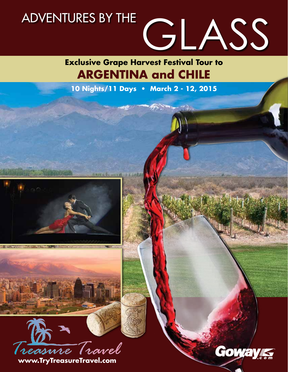

**Exclusive Grape Harvest Festival Tour to ARGENTINA and CHILE**

**10 Nights/11 Days • March 2 - 12, 2015**

**MARSHARE** 

**ATTENDING IN** 

 $\mathcal{L} = \mathcal{L} \mathcal{L}$ 



**www.TryTreasureTravel.com**